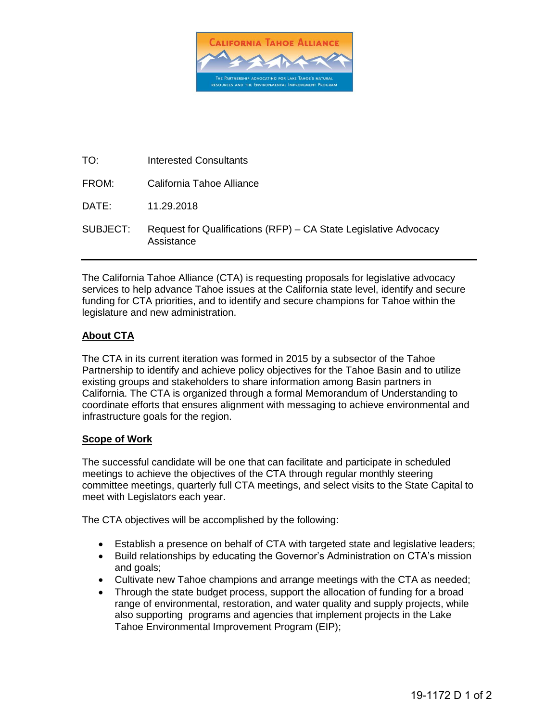

| TO:      | Interested Consultants                                                         |
|----------|--------------------------------------------------------------------------------|
| FROM:    | California Tahoe Alliance                                                      |
| DATE:    | 11.29.2018                                                                     |
| SUBJECT: | Request for Qualifications (RFP) – CA State Legislative Advocacy<br>Assistance |

The California Tahoe Alliance (CTA) is requesting proposals for legislative advocacy services to help advance Tahoe issues at the California state level, identify and secure funding for CTA priorities, and to identify and secure champions for Tahoe within the legislature and new administration.

## **About CTA**

The CTA in its current iteration was formed in 2015 by a subsector of the Tahoe Partnership to identify and achieve policy objectives for the Tahoe Basin and to utilize existing groups and stakeholders to share information among Basin partners in California. The CTA is organized through a formal Memorandum of Understanding to coordinate efforts that ensures alignment with messaging to achieve environmental and infrastructure goals for the region.

### **Scope of Work**

The successful candidate will be one that can facilitate and participate in scheduled meetings to achieve the objectives of the CTA through regular monthly steering committee meetings, quarterly full CTA meetings, and select visits to the State Capital to meet with Legislators each year.

The CTA objectives will be accomplished by the following:

- Establish a presence on behalf of CTA with targeted state and legislative leaders;
- Build relationships by educating the Governor's Administration on CTA's mission and goals;
- Cultivate new Tahoe champions and arrange meetings with the CTA as needed;
- Through the state budget process, support the allocation of funding for a broad range of environmental, restoration, and water quality and supply projects, while also supporting programs and agencies that implement projects in the Lake Tahoe Environmental Improvement Program (EIP);